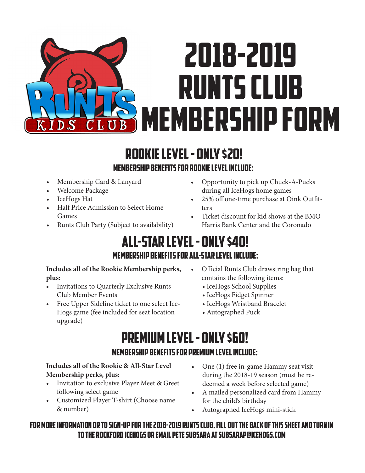# 2018-2019 Runts Club  $\overline{\Omega}$ **K MEMBERSHIP FORM** IDS LU

## Rookie Level - only \$20! Membership Benefits for Rookie Level Include:

- Membership Card & Lanyard
- Welcome Package
- IceHogs Hat
- Half Price Admission to Select Home Games
- Runts Club Party (Subject to availability)
- Opportunity to pick up Chuck-A-Pucks during all IceHogs home games
- 25% off one-time purchase at Oink Outfitters
- Ticket discount for kid shows at the BMO Harris Bank Center and the Coronado

# All-Star Level - only \$40! Membership Benefits for All-Star Level Include:

### **Includes all of the Rookie Membership perks, plus:**

- Invitations to Quarterly Exclusive Runts Club Member Events
- Free Upper Sideline ticket to one select Ice-Hogs game (fee included for seat location upgrade)
- Official Runts Club drawstring bag that contains the following items:
	- IceHogs School Supplies
	- IceHogs Fidget Spinner
	- IceHogs Wristband Bracelet
	- Autographed Puck

# Premium Level - only \$60! Membership Benefits for Premium Level Include:

### **Includes all of the Rookie & All-Star Level Membership perks, plus:**

- Invitation to exclusive Player Meet & Greet following select game
- Customized Player T-shirt (Choose name & number)
- One (1) free in-game Hammy seat visit during the 2018-19 season (must be redeemed a week before selected game)
- A mailed personalized card from Hammy for the child's birthday
- Autographed IceHogs mini-stick

### For more information or to sign-up for the 2018-2019 Runts club, fill out the back of this sheet and turn in to the Rockford IceHogs or email pete subsara at subsarap@icehogs.com